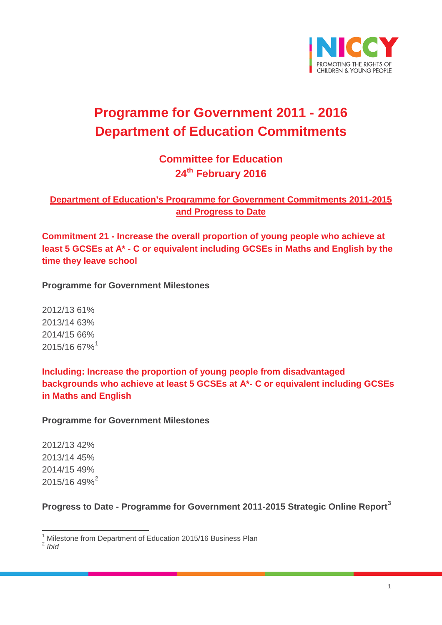

# **Programme for Government 2011 - 2016 Department of Education Commitments**

# **Committee for Education 24th February 2016**

# **Department of Education's Programme for Government Commitments 2011-2015 and Progress to Date**

**Commitment 21 - Increase the overall proportion of young people who achieve at least 5 GCSEs at A\* - C or equivalent including GCSEs in Maths and English by the time they leave school**

**Programme for Government Milestones**

2012/13 61% 2013/14 63% 2014/15 66% 2015/16 67%[1](#page-0-0)

**Including: Increase the proportion of young people from disadvantaged backgrounds who achieve at least 5 GCSEs at A\*- C or equivalent including GCSEs in Maths and English** 

**Programme for Government Milestones**

2012/13 42% 2013/14 45% 2014/15 49% [2](#page-0-1)015/16 49%<sup>2</sup>

<span id="page-0-2"></span>**Progress to Date - Programme for Government 2011-2015 Strategic Online Report[3](#page-0-2)**

<span id="page-0-1"></span><span id="page-0-0"></span><sup>2</sup> *Ibid*

<sup>&</sup>lt;sup>1</sup> Milestone from Department of Education 2015/16 Business Plan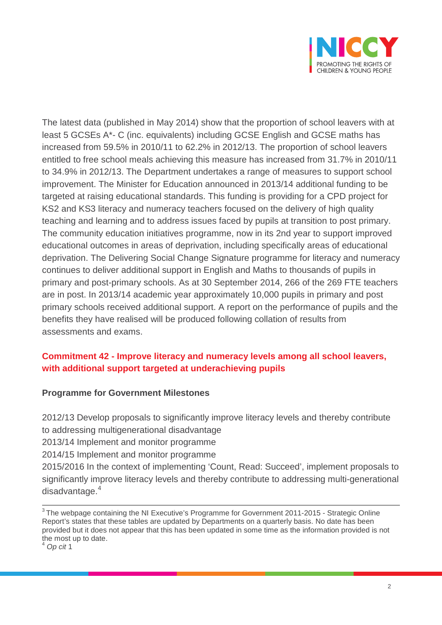

The latest data (published in May 2014) show that the proportion of school leavers with at least 5 GCSEs A\*- C (inc. equivalents) including GCSE English and GCSE maths has increased from 59.5% in 2010/11 to 62.2% in 2012/13. The proportion of school leavers entitled to free school meals achieving this measure has increased from 31.7% in 2010/11 to 34.9% in 2012/13. The Department undertakes a range of measures to support school improvement. The Minister for Education announced in 2013/14 additional funding to be targeted at raising educational standards. This funding is providing for a CPD project for KS2 and KS3 literacy and numeracy teachers focused on the delivery of high quality teaching and learning and to address issues faced by pupils at transition to post primary. The community education initiatives programme, now in its 2nd year to support improved educational outcomes in areas of deprivation, including specifically areas of educational deprivation. The Delivering Social Change Signature programme for literacy and numeracy continues to deliver additional support in English and Maths to thousands of pupils in primary and post-primary schools. As at 30 September 2014, 266 of the 269 FTE teachers are in post. In 2013/14 academic year approximately 10,000 pupils in primary and post primary schools received additional support. A report on the performance of pupils and the benefits they have realised will be produced following collation of results from assessments and exams.

# **Commitment 42 - Improve literacy and numeracy levels among all school leavers, with additional support targeted at underachieving pupils**

### **Programme for Government Milestones**

2012/13 Develop proposals to significantly improve literacy levels and thereby contribute to addressing multigenerational disadvantage

2013/14 Implement and monitor programme

2014/15 Implement and monitor programme

2015/2016 In the context of implementing 'Count, Read: Succeed', implement proposals to significantly improve literacy levels and thereby contribute to addressing multi-generational disadvantage.<sup>[4](#page-1-0)</sup>

<sup>&</sup>lt;sup>3</sup> The webpage containing the NI Executive's Programme for Government 2011-2015 - Strategic Online Report's states that these tables are updated by Departments on a quarterly basis. No date has been provided but it does not appear that this has been updated in some time as the information provided is not the most up to date.

<span id="page-1-0"></span><sup>4</sup> *Op cit* 1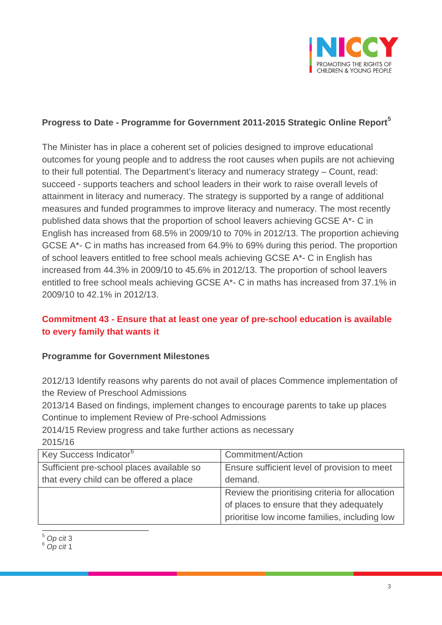

# **Progress to Date - Programme for Government 2011-2015 Strategic Online Report[5](#page-2-0)**

The Minister has in place a coherent set of policies designed to improve educational outcomes for young people and to address the root causes when pupils are not achieving to their full potential. The Department's literacy and numeracy strategy – Count, read: succeed - supports teachers and school leaders in their work to raise overall levels of attainment in literacy and numeracy. The strategy is supported by a range of additional measures and funded programmes to improve literacy and numeracy. The most recently published data shows that the proportion of school leavers achieving GCSE A\*- C in English has increased from 68.5% in 2009/10 to 70% in 2012/13. The proportion achieving GCSE A\*- C in maths has increased from 64.9% to 69% during this period. The proportion of school leavers entitled to free school meals achieving GCSE A\*- C in English has increased from 44.3% in 2009/10 to 45.6% in 2012/13. The proportion of school leavers entitled to free school meals achieving GCSE A\*- C in maths has increased from 37.1% in 2009/10 to 42.1% in 2012/13.

# **Commitment 43 - Ensure that at least one year of pre-school education is available to every family that wants it**

### **Programme for Government Milestones**

2012/13 Identify reasons why parents do not avail of places Commence implementation of the Review of Preschool Admissions

2013/14 Based on findings, implement changes to encourage parents to take up places Continue to implement Review of Pre-school Admissions

2014/15 Review progress and take further actions as necessary 2015/16

| Key Success Indicator <sup>6</sup>        | Commitment/Action                               |
|-------------------------------------------|-------------------------------------------------|
| Sufficient pre-school places available so | Ensure sufficient level of provision to meet    |
| that every child can be offered a place   | demand.                                         |
|                                           | Review the prioritising criteria for allocation |
|                                           | of places to ensure that they adequately        |
|                                           | prioritise low income families, including low   |

<span id="page-2-0"></span><sup>5</sup> *Op cit* <sup>3</sup>

<span id="page-2-1"></span><sup>6</sup> *Op cit* 1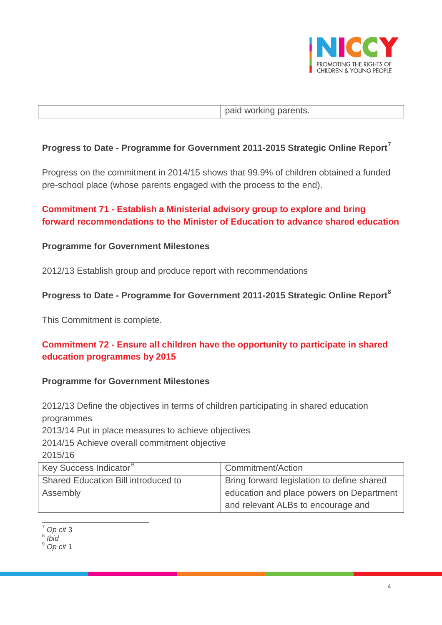

paid working parents.

### **Progress to Date - Programme for Government 2011-2015 Strategic Online Report[7](#page-3-0)**

Progress on the commitment in 2014/15 shows that 99.9% of children obtained a funded pre-school place (whose parents engaged with the process to the end).

# **Commitment 71 - Establish a Ministerial advisory group to explore and bring forward recommendations to the Minister of Education to advance shared education**

#### **Programme for Government Milestones**

2012/13 Establish group and produce report with recommendations

### **Progress to Date - Programme for Government 2011-2015 Strategic Online Report[8](#page-3-1)**

This Commitment is complete.

# **Commitment 72 - Ensure all children have the opportunity to participate in shared education programmes by 2015**

#### **Programme for Government Milestones**

2012/13 Define the objectives in terms of children participating in shared education programmes

2013/14 Put in place measures to achieve objectives

2014/15 Achieve overall commitment objective

2015/16

| Key Success Indicator <sup>9</sup>  | Commitment/Action                          |
|-------------------------------------|--------------------------------------------|
| Shared Education Bill introduced to | Bring forward legislation to define shared |
| Assembly                            | education and place powers on Department   |
|                                     | and relevant ALBs to encourage and         |

<sup>7</sup> *Op cit* <sup>3</sup>

<span id="page-3-1"></span><span id="page-3-0"></span><sup>8</sup> *Ibid*

<span id="page-3-2"></span><sup>9</sup> *Op cit* 1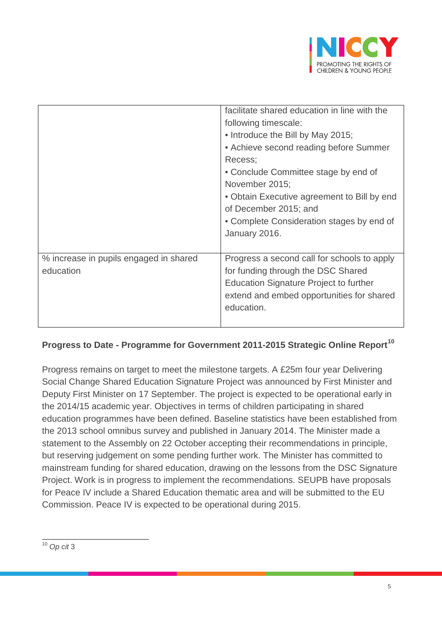

|                                        | facilitate shared education in line with the  |
|----------------------------------------|-----------------------------------------------|
|                                        | following timescale:                          |
|                                        | • Introduce the Bill by May 2015;             |
|                                        | • Achieve second reading before Summer        |
|                                        | Recess:                                       |
|                                        | • Conclude Committee stage by end of          |
|                                        | November 2015;                                |
|                                        | • Obtain Executive agreement to Bill by end   |
|                                        | of December 2015; and                         |
|                                        | • Complete Consideration stages by end of     |
|                                        | January 2016.                                 |
|                                        |                                               |
| % increase in pupils engaged in shared | Progress a second call for schools to apply   |
| education                              | for funding through the DSC Shared            |
|                                        | <b>Education Signature Project to further</b> |
|                                        | extend and embed opportunities for shared     |
|                                        | education.                                    |
|                                        |                                               |
|                                        |                                               |

# **Progress to Date - Programme for Government 2011-2015 Strategic Online Report[10](#page-4-0)**

Progress remains on target to meet the milestone targets. A £25m four year Delivering Social Change Shared Education Signature Project was announced by First Minister and Deputy First Minister on 17 September. The project is expected to be operational early in the 2014/15 academic year. Objectives in terms of children participating in shared education programmes have been defined. Baseline statistics have been established from the 2013 school omnibus survey and published in January 2014. The Minister made a statement to the Assembly on 22 October accepting their recommendations in principle, but reserving judgement on some pending further work. The Minister has committed to mainstream funding for shared education, drawing on the lessons from the DSC Signature Project. Work is in progress to implement the recommendations. SEUPB have proposals for Peace IV include a Shared Education thematic area and will be submitted to the EU Commission. Peace IV is expected to be operational during 2015.

<span id="page-4-0"></span><sup>10</sup> *Op cit* <sup>3</sup>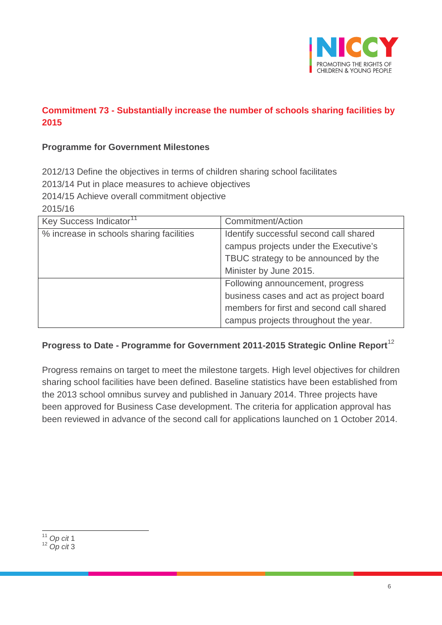

# **Commitment 73 - Substantially increase the number of schools sharing facilities by 2015**

### **Programme for Government Milestones**

2012/13 Define the objectives in terms of children sharing school facilitates

2013/14 Put in place measures to achieve objectives

2014/15 Achieve overall commitment objective

2015/16

| Key Success Indicator <sup>11</sup>      | Commitment/Action                        |
|------------------------------------------|------------------------------------------|
| % increase in schools sharing facilities | Identify successful second call shared   |
|                                          | campus projects under the Executive's    |
|                                          | TBUC strategy to be announced by the     |
|                                          | Minister by June 2015.                   |
|                                          | Following announcement, progress         |
|                                          | business cases and act as project board  |
|                                          | members for first and second call shared |
|                                          | campus projects throughout the year.     |

# **Progress to Date - Programme for Government 2011-2015 Strategic Online Report**[12](#page-5-1)

Progress remains on target to meet the milestone targets. High level objectives for children sharing school facilities have been defined. Baseline statistics have been established from the 2013 school omnibus survey and published in January 2014. Three projects have been approved for Business Case development. The criteria for application approval has been reviewed in advance of the second call for applications launched on 1 October 2014.

<span id="page-5-0"></span><sup>11</sup> *Op cit* <sup>1</sup>

<span id="page-5-1"></span><sup>12</sup> *Op cit* 3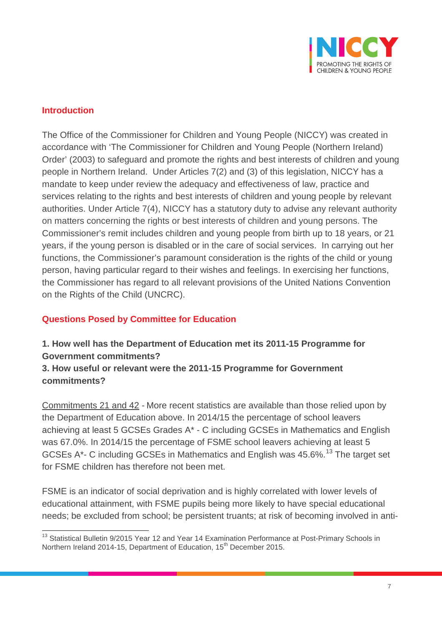

### **Introduction**

The Office of the Commissioner for Children and Young People (NICCY) was created in accordance with 'The Commissioner for Children and Young People (Northern Ireland) Order' (2003) to safeguard and promote the rights and best interests of children and young people in Northern Ireland. Under Articles 7(2) and (3) of this legislation, NICCY has a mandate to keep under review the adequacy and effectiveness of law, practice and services relating to the rights and best interests of children and young people by relevant authorities. Under Article 7(4), NICCY has a statutory duty to advise any relevant authority on matters concerning the rights or best interests of children and young persons. The Commissioner's remit includes children and young people from birth up to 18 years, or 21 years, if the young person is disabled or in the care of social services. In carrying out her functions, the Commissioner's paramount consideration is the rights of the child or young person, having particular regard to their wishes and feelings. In exercising her functions, the Commissioner has regard to all relevant provisions of the United Nations Convention on the Rights of the Child (UNCRC).

### **Questions Posed by Committee for Education**

# **1. How well has the Department of Education met its 2011-15 Programme for Government commitments?**

**3. How useful or relevant were the 2011-15 Programme for Government commitments?** 

Commitments 21 and 42 - More recent statistics are available than those relied upon by the Department of Education above. In 2014/15 the percentage of school leavers achieving at least 5 GCSEs Grades A\* - C including GCSEs in Mathematics and English was 67.0%. In 2014/15 the percentage of FSME school leavers achieving at least 5 GCSEs A\*- C including GCSEs in Mathematics and English was 45.6%.<sup>[13](#page-6-0)</sup> The target set for FSME children has therefore not been met.

FSME is an indicator of social deprivation and is highly correlated with lower levels of educational attainment, with FSME pupils being more likely to have special educational needs; be excluded from school; be persistent truants; at risk of becoming involved in anti-

<span id="page-6-0"></span><sup>&</sup>lt;sup>13</sup> Statistical Bulletin 9/2015 Year 12 and Year 14 Examination Performance at Post-Primary Schools in Northern Ireland 2014-15, Department of Education, 15<sup>th</sup> December 2015.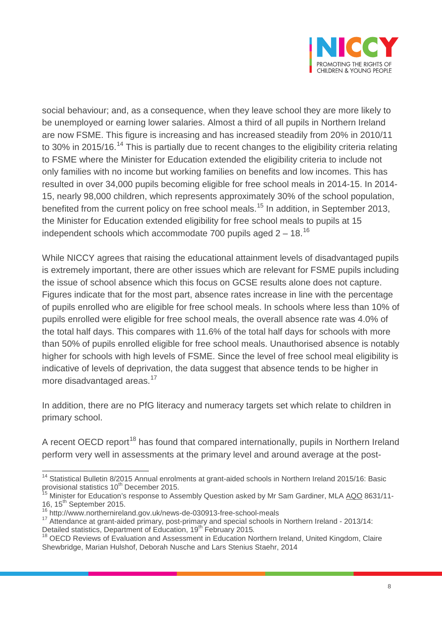

social behaviour; and, as a consequence, when they leave school they are more likely to be unemployed or earning lower salaries. Almost a third of all pupils in Northern Ireland are now FSME. This figure is increasing and has increased steadily from 20% in 2010/11 to 30% in 2015/16.<sup>[14](#page-7-0)</sup> This is partially due to recent changes to the eligibility criteria relating to FSME where the Minister for Education extended the eligibility criteria to include not only families with no income but working families on benefits and low incomes. This has resulted in over 34,000 pupils becoming eligible for free school meals in 2014-15. In 2014- 15, nearly 98,000 children, which represents approximately 30% of the school population, benefited from the current policy on free school meals.<sup>[15](#page-7-1)</sup> In addition, in September 2013, the Minister for Education extended eligibility for free school meals to pupils at 15 independent schools which accommodate 700 pupils aged  $2 - 18$ .<sup>[16](#page-7-2)</sup>

While NICCY agrees that raising the educational attainment levels of disadvantaged pupils is extremely important, there are other issues which are relevant for FSME pupils including the issue of school absence which this focus on GCSE results alone does not capture. Figures indicate that for the most part, absence rates increase in line with the percentage of pupils enrolled who are eligible for free school meals. In schools where less than 10% of pupils enrolled were eligible for free school meals, the overall absence rate was 4.0% of the total half days. This compares with 11.6% of the total half days for schools with more than 50% of pupils enrolled eligible for free school meals. Unauthorised absence is notably higher for schools with high levels of FSME. Since the level of free school meal eligibility is indicative of levels of deprivation, the data suggest that absence tends to be higher in more disadvantaged areas. [17](#page-7-3)

In addition, there are no PfG literacy and numeracy targets set which relate to children in primary school.

A recent OECD report<sup>[18](#page-7-4)</sup> has found that compared internationally, pupils in Northern Ireland perform very well in assessments at the primary level and around average at the post-

<span id="page-7-0"></span><sup>&</sup>lt;sup>14</sup> Statistical Bulletin 8/2015 Annual enrolments at grant-aided schools in Northern Ireland 2015/16: Basic provisional statistics 10<sup>th</sup> December 2015.

<span id="page-7-1"></span><sup>&</sup>lt;sup>15</sup> Minister for Education's response to Assembly Question asked by Mr Sam Gardiner, MLA [AQO](https://en.wikipedia.org/wiki/AQO) 8631/11-16, 15<sup>th</sup> September 2015.<br><sup>16</sup> http://www.northernireland.gov.uk/news-de-030913-free-school-meals

<span id="page-7-2"></span>

<span id="page-7-3"></span> $17$  Attendance at grant-aided primary, post-primary and special schools in Northern Ireland - 2013/14: Detailed statistics, Department of Education, 19<sup>th</sup> February 2015*.*<br><sup>18</sup> OECD Reviews of Evaluation and Assessment in Education Northern Ireland, United Kingdom, Claire

<span id="page-7-4"></span>Shewbridge, Marian Hulshof, Deborah Nusche and Lars Stenius Staehr, 2014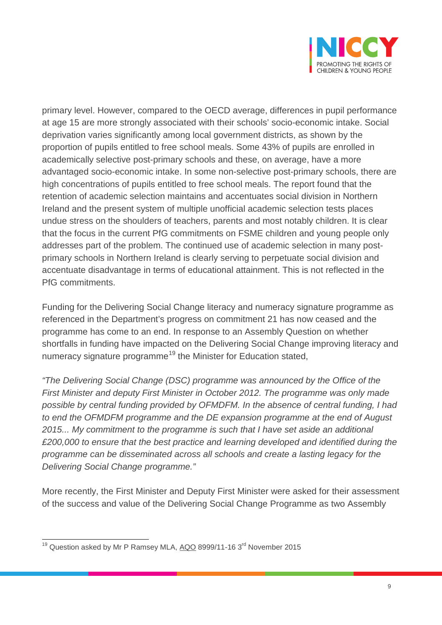

primary level. However, compared to the OECD average, differences in pupil performance at age 15 are more strongly associated with their schools' socio-economic intake. Social deprivation varies significantly among local government districts, as shown by the proportion of pupils entitled to free school meals. Some 43% of pupils are enrolled in academically selective post-primary schools and these, on average, have a more advantaged socio-economic intake. In some non-selective post-primary schools, there are high concentrations of pupils entitled to free school meals. The report found that the retention of academic selection maintains and accentuates social division in Northern Ireland and the present system of multiple unofficial academic selection tests places undue stress on the shoulders of teachers, parents and most notably children. It is clear that the focus in the current PfG commitments on FSME children and young people only addresses part of the problem. The continued use of academic selection in many postprimary schools in Northern Ireland is clearly serving to perpetuate social division and accentuate disadvantage in terms of educational attainment. This is not reflected in the PfG commitments.

Funding for the Delivering Social Change literacy and numeracy signature programme as referenced in the Department's progress on commitment 21 has now ceased and the programme has come to an end. In response to an Assembly Question on whether shortfalls in funding have impacted on the Delivering Social Change improving literacy and numeracy signature programme<sup>[19](#page-8-0)</sup> the Minister for Education stated,

*"The Delivering Social Change [\(DSC\)](http://en.wikipedia.org/wiki/DSC) programme was announced by the Office of the First [Minister](http://www.theyworkforyou.com/glossary/?gl=35) and deputy [First Minister](http://en.wikipedia.org/wiki/First_Minister) in [October 2012.](http://en.wikipedia.org/wiki/October_2012) The programme was only made possible by central funding provided by [OFMDFM.](http://en.wikipedia.org/wiki/OFMDFM) In the absence of central funding, I had to end the OFMDFM programme and the DE expansion programme at the end of [August](http://en.wikipedia.org/wiki/August_2015)  [2015.](http://en.wikipedia.org/wiki/August_2015).. My commitment to the programme is such that I have set aside an additional £200,000 to ensure that the best practice and learning developed and identified during the programme can be disseminated across all schools and create a lasting legacy for the Delivering Social Change programme."*

More recently, the First Minister and Deputy First Minister were asked for their assessment of the success and value of the Delivering Social Change Programme as two Assembly

<span id="page-8-0"></span><sup>&</sup>lt;sup>19</sup> Question asked by Mr P Ramsey MLA, [AQO](http://en.wikipedia.org/wiki/AQO) 8999/11-16 3<sup>rd</sup> November 2015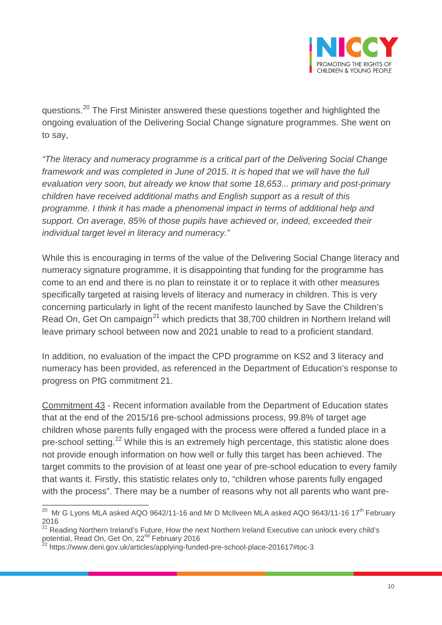

questions.[20](#page-9-0) The First Minister answered these questions together and highlighted the ongoing evaluation of the Delivering Social Change signature programmes. She went on to say,

*"The literacy and numeracy programme is a critical part of the Delivering Social Change framework and was completed in June of 2015. It is hoped that we will have the full evaluation very soon, but already we know that some 18,653... primary and post-primary children have received additional maths and English support as a result of this programme. I think it has made a phenomenal impact in terms of additional help and support. On average, 85% of those pupils have achieved or, indeed, exceeded their individual target level in literacy and numeracy."*

While this is encouraging in terms of the value of the Delivering Social Change literacy and numeracy signature programme, it is disappointing that funding for the programme has come to an end and there is no plan to reinstate it or to replace it with other measures specifically targeted at raising levels of literacy and numeracy in children. This is very concerning particularly in light of the recent manifesto launched by Save the Children's Read On, Get On campaign<sup>[21](#page-9-1)</sup> which predicts that 38,700 children in Northern Ireland will leave primary school between now and 2021 unable to read to a proficient standard.

In addition, no evaluation of the impact the CPD programme on KS2 and 3 literacy and numeracy has been provided, as referenced in the Department of Education's response to progress on PfG commitment 21.

Commitment 43 - Recent information available from the Department of Education states that at the end of the 2015/16 pre-school admissions process, 99.8% of target age children whose parents fully engaged with the process were offered a funded place in a pre-school setting.<sup>[22](#page-9-2)</sup> While this is an extremely high percentage, this statistic alone does not provide enough information on how well or fully this target has been achieved. The target commits to the provision of at least one year of pre-school education to every family that wants it. Firstly, this statistic relates only to, "children whose parents fully engaged with the process". There may be a number of reasons why not all parents who want pre-

<span id="page-9-0"></span><sup>&</sup>lt;sup>20</sup> [Mr G Lyons MLA asked AQO 9642/11-16](http://aims.niassembly.gov.uk/officialreport/report.aspx?&eveDate=2016-02-15&docID=259250#AQO 9642/11-16) and Mr D McIlveen MLA asked [AQO 9643/11-16](http://aims.niassembly.gov.uk/questions/oralsearchresults.aspx?&qf=0&qfv=1&ref=AQO%209643/11-16) 17<sup>th</sup> February  $\frac{2016}{21}$ 

<span id="page-9-1"></span><sup>&</sup>lt;sup>21</sup> Reading Northern Ireland's Future, How the next Northern Ireland Executive can unlock every child's potential, Read On, Get On,  $22^{\text{nd}}$  February 2016

<span id="page-9-2"></span> $2$  https://www.deni.gov.uk/articles/applying-funded-pre-school-place-201617#toc-3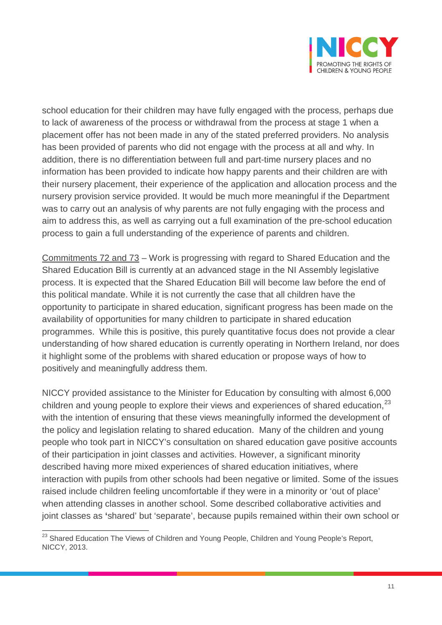

school education for their children may have fully engaged with the process, perhaps due to lack of awareness of the process or withdrawal from the process at stage 1 when a placement offer has not been made in any of the stated preferred providers. No analysis has been provided of parents who did not engage with the process at all and why. In addition, there is no differentiation between full and part-time nursery places and no information has been provided to indicate how happy parents and their children are with their nursery placement, their experience of the application and allocation process and the nursery provision service provided. It would be much more meaningful if the Department was to carry out an analysis of why parents are not fully engaging with the process and aim to address this, as well as carrying out a full examination of the pre-school education process to gain a full understanding of the experience of parents and children.

Commitments 72 and 73 – Work is progressing with regard to Shared Education and the Shared Education Bill is currently at an advanced stage in the NI Assembly legislative process. It is expected that the Shared Education Bill will become law before the end of this political mandate. While it is not currently the case that all children have the opportunity to participate in shared education, significant progress has been made on the availability of opportunities for many children to participate in shared education programmes. While this is positive, this purely quantitative focus does not provide a clear understanding of how shared education is currently operating in Northern Ireland, nor does it highlight some of the problems with shared education or propose ways of how to positively and meaningfully address them.

NICCY provided assistance to the Minister for Education by consulting with almost 6,000 children and young people to explore their views and experiences of shared education.<sup>[23](#page-10-0)</sup> with the intention of ensuring that these views meaningfully informed the development of the policy and legislation relating to shared education. Many of the children and young people who took part in NICCY's consultation on shared education gave positive accounts of their participation in joint classes and activities. However, a significant minority described having more mixed experiences of shared education initiatives, where interaction with pupils from other schools had been negative or limited. Some of the issues raised include children feeling uncomfortable if they were in a minority or 'out of place' when attending classes in another school. Some described collaborative activities and joint classes as **'**shared' but 'separate', because pupils remained within their own school or

<span id="page-10-0"></span><sup>&</sup>lt;sup>23</sup> Shared Education The Views of Children and Young People, Children and Young People's Report, NICCY, 2013.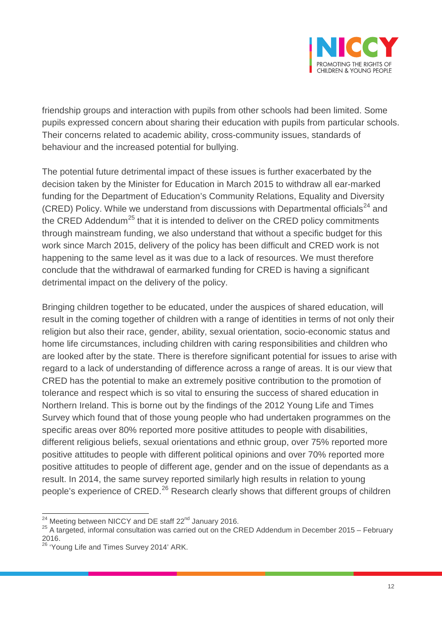

friendship groups and interaction with pupils from other schools had been limited. Some pupils expressed concern about sharing their education with pupils from particular schools. Their concerns related to academic ability, cross-community issues, standards of behaviour and the increased potential for bullying.

The potential future detrimental impact of these issues is further exacerbated by the decision taken by the Minister for Education in March 2015 to withdraw all ear-marked funding for the Department of Education's Community Relations, Equality and Diversity (CRED) Policy. While we understand from discussions with Departmental officials<sup>[24](#page-11-0)</sup> and the CRED Addendum<sup>[25](#page-11-1)</sup> that it is intended to deliver on the CRED policy commitments through mainstream funding, we also understand that without a specific budget for this work since March 2015, delivery of the policy has been difficult and CRED work is not happening to the same level as it was due to a lack of resources. We must therefore conclude that the withdrawal of earmarked funding for CRED is having a significant detrimental impact on the delivery of the policy.

Bringing children together to be educated, under the auspices of shared education, will result in the coming together of children with a range of identities in terms of not only their religion but also their race, gender, ability, sexual orientation, socio-economic status and home life circumstances, including children with caring responsibilities and children who are looked after by the state. There is therefore significant potential for issues to arise with regard to a lack of understanding of difference across a range of areas. It is our view that CRED has the potential to make an extremely positive contribution to the promotion of tolerance and respect which is so vital to ensuring the success of shared education in Northern Ireland. This is borne out by the findings of the 2012 Young Life and Times Survey which found that of those young people who had undertaken programmes on the specific areas over 80% reported more positive attitudes to people with disabilities, different religious beliefs, sexual orientations and ethnic group, over 75% reported more positive attitudes to people with different political opinions and over 70% reported more positive attitudes to people of different age, gender and on the issue of dependants as a result. In 2014, the same survey reported similarly high results in relation to young people's experience of CRED.<sup>[26](#page-11-2)</sup> Research clearly shows that different groups of children

<span id="page-11-0"></span><sup>&</sup>lt;sup>24</sup> Meeting between NICCY and DE staff 22<sup>nd</sup> January 2016.

<span id="page-11-1"></span><sup>&</sup>lt;sup>25</sup> A targeted, informal consultation was carried out on the CRED Addendum in December 2015 – February 2016.

<span id="page-11-2"></span><sup>&</sup>lt;sup>26</sup> 'Young Life and Times Survey 2014' ARK.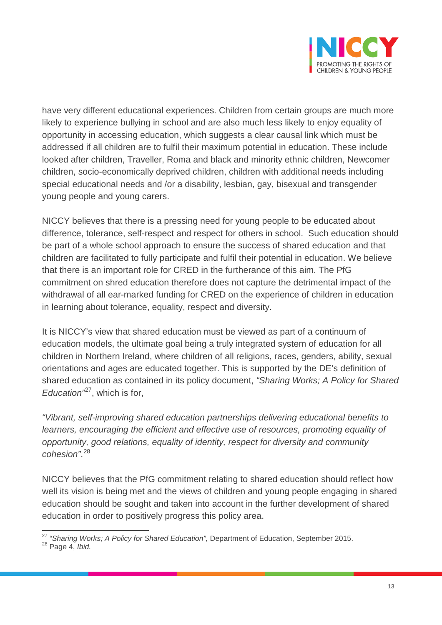

have very different educational experiences. Children from certain groups are much more likely to experience bullying in school and are also much less likely to enjoy equality of opportunity in accessing education, which suggests a clear causal link which must be addressed if all children are to fulfil their maximum potential in education. These include looked after children, Traveller, Roma and black and minority ethnic children, Newcomer children, socio-economically deprived children, children with additional needs including special educational needs and /or a disability, lesbian, gay, bisexual and transgender young people and young carers.

NICCY believes that there is a pressing need for young people to be educated about difference, tolerance, self-respect and respect for others in school. Such education should be part of a whole school approach to ensure the success of shared education and that children are facilitated to fully participate and fulfil their potential in education. We believe that there is an important role for CRED in the furtherance of this aim. The PfG commitment on shred education therefore does not capture the detrimental impact of the withdrawal of all ear-marked funding for CRED on the experience of children in education in learning about tolerance, equality, respect and diversity.

It is NICCY's view that shared education must be viewed as part of a continuum of education models, the ultimate goal being a truly integrated system of education for all children in Northern Ireland, where children of all religions, races, genders, ability, sexual orientations and ages are educated together. This is supported by the DE's definition of shared education as contained in its policy document, *"Sharing Works; A Policy for Shared Education"*[27](#page-12-0), which is for,

*"Vibrant, self-improving shared education partnerships delivering educational benefits to learners, encouraging the efficient and effective use of resources, promoting equality of opportunity, good relations, equality of identity, respect for diversity and community cohesion"*. [28](#page-12-1)

NICCY believes that the PfG commitment relating to shared education should reflect how well its vision is being met and the views of children and young people engaging in shared education should be sought and taken into account in the further development of shared education in order to positively progress this policy area.

<span id="page-12-1"></span><span id="page-12-0"></span><sup>27</sup> "Sharing Works; A Policy for Shared Education", Department of Education, September 2015.<br><sup>28</sup> Page 4, *Ibid.*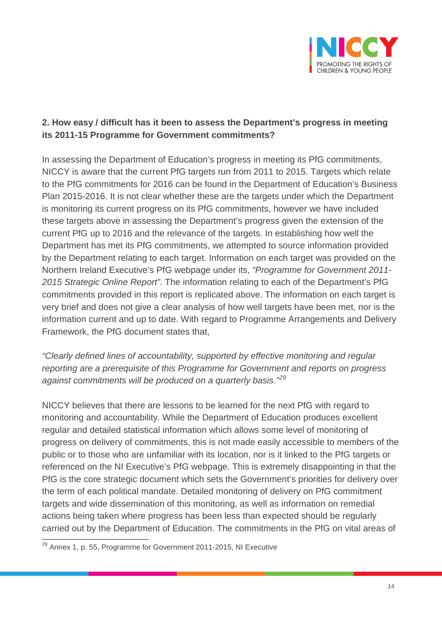

# **2. How easy / difficult has it been to assess the Department's progress in meeting its 2011-15 Programme for Government commitments?**

In assessing the Department of Education's progress in meeting its PfG commitments, NICCY is aware that the current PfG targets run from 2011 to 2015. Targets which relate to the PfG commitments for 2016 can be found in the Department of Education's Business Plan 2015-2016. It is not clear whether these are the targets under which the Department is monitoring its current progress on its PfG commitments, however we have included these targets above in assessing the Department's progress given the extension of the current PfG up to 2016 and the relevance of the targets. In establishing how well the Department has met its PfG commitments, we attempted to source information provided by the Department relating to each target. Information on each target was provided on the Northern Ireland Executive's PfG webpage under its, *"Programme for Government 2011- 2015 Strategic Online Report"*. The information relating to each of the Department's PfG commitments provided in this report is replicated above. The information on each target is very brief and does not give a clear analysis of how well targets have been met, nor is the information current and up to date. With regard to Programme Arrangements and Delivery Framework, the PfG document states that,

*"Clearly defined lines of accountability, supported by effective monitoring and regular reporting are a prerequisite of this Programme for Government and reports on progress against commitments will be produced on a quarterly basis." [29](#page-13-0)*

NICCY believes that there are lessons to be learned for the next PfG with regard to monitoring and accountability. While the Department of Education produces excellent regular and detailed statistical information which allows some level of monitoring of progress on delivery of commitments, this is not made easily accessible to members of the public or to those who are unfamiliar with its location, nor is it linked to the PfG targets or referenced on the NI Executive's PfG webpage. This is extremely disappointing in that the PfG is the core strategic document which sets the Government's priorities for delivery over the term of each political mandate. Detailed monitoring of delivery on PfG commitment targets and wide dissemination of this monitoring, as well as information on remedial actions being taken where progress has been less than expected should be regularly carried out by the Department of Education. The commitments in the PfG on vital areas of

<span id="page-13-0"></span><sup>&</sup>lt;sup>29</sup> Annex 1, p. 55, Programme for Government 2011-2015, NI Executive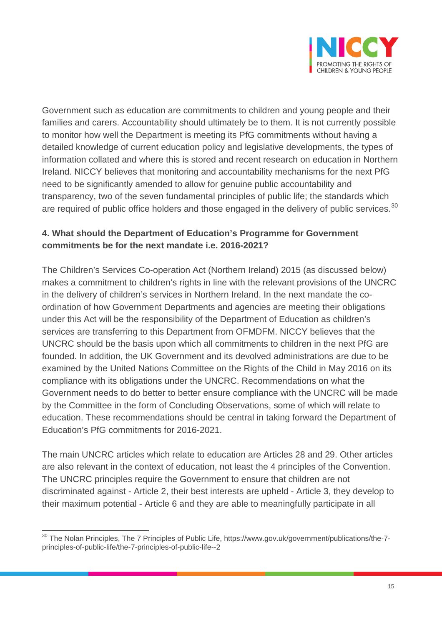

Government such as education are commitments to children and young people and their families and carers. Accountability should ultimately be to them. It is not currently possible to monitor how well the Department is meeting its PfG commitments without having a detailed knowledge of current education policy and legislative developments, the types of information collated and where this is stored and recent research on education in Northern Ireland. NICCY believes that monitoring and accountability mechanisms for the next PfG need to be significantly amended to allow for genuine public accountability and transparency, two of the seven fundamental principles of public life; the standards which are required of public office holders and those engaged in the delivery of public services.<sup>[30](#page-14-0)</sup>

# **4. What should the Department of Education's Programme for Government commitments be for the next mandate i.e. 2016-2021?**

The Children's Services Co-operation Act (Northern Ireland) 2015 (as discussed below) makes a commitment to children's rights in line with the relevant provisions of the UNCRC in the delivery of children's services in Northern Ireland. In the next mandate the coordination of how Government Departments and agencies are meeting their obligations under this Act will be the responsibility of the Department of Education as children's services are transferring to this Department from OFMDFM. NICCY believes that the UNCRC should be the basis upon which all commitments to children in the next PfG are founded. In addition, the UK Government and its devolved administrations are due to be examined by the United Nations Committee on the Rights of the Child in May 2016 on its compliance with its obligations under the UNCRC. Recommendations on what the Government needs to do better to better ensure compliance with the UNCRC will be made by the Committee in the form of Concluding Observations, some of which will relate to education. These recommendations should be central in taking forward the Department of Education's PfG commitments for 2016-2021.

The main UNCRC articles which relate to education are Articles 28 and 29. Other articles are also relevant in the context of education, not least the 4 principles of the Convention. The UNCRC principles require the Government to ensure that children are not discriminated against - Article 2, their best interests are upheld - Article 3, they develop to their maximum potential - Article 6 and they are able to meaningfully participate in all

<span id="page-14-0"></span><sup>&</sup>lt;sup>30</sup> The Nolan Principles, The 7 Principles of Public Life, https://www.gov.uk/government/publications/the-7principles-of-public-life/the-7-principles-of-public-life--2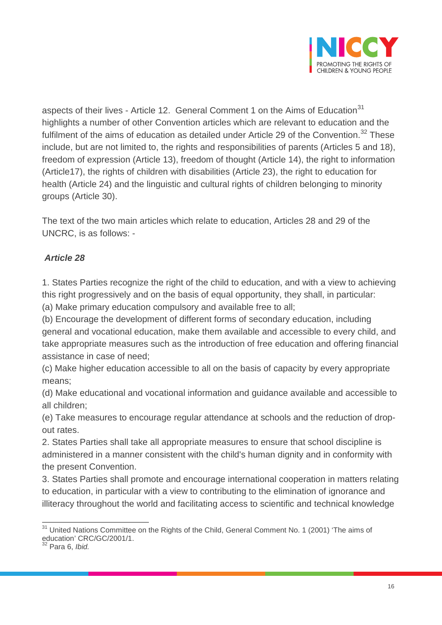

aspects of their lives - Article 12. General Comment 1 on the Aims of Education<sup>[31](#page-15-0)</sup> highlights a number of other Convention articles which are relevant to education and the fulfilment of the aims of education as detailed under Article 29 of the Convention. $32$  These include, but are not limited to, the rights and responsibilities of parents (Articles 5 and 18), freedom of expression (Article 13), freedom of thought (Article 14), the right to information (Article17), the rights of children with disabilities (Article 23), the right to education for health (Article 24) and the linguistic and cultural rights of children belonging to minority groups (Article 30).

The text of the two main articles which relate to education, Articles 28 and 29 of the UNCRC, is as follows: -

# *Article 28*

1. States Parties recognize the right of the child to education, and with a view to achieving this right progressively and on the basis of equal opportunity, they shall, in particular: (a) Make primary education compulsory and available free to all;

(b) Encourage the development of different forms of secondary education, including general and vocational education, make them available and accessible to every child, and take appropriate measures such as the introduction of free education and offering financial assistance in case of need;

(c) Make higher education accessible to all on the basis of capacity by every appropriate means;

(d) Make educational and vocational information and guidance available and accessible to all children;

(e) Take measures to encourage regular attendance at schools and the reduction of dropout rates.

2. States Parties shall take all appropriate measures to ensure that school discipline is administered in a manner consistent with the child's human dignity and in conformity with the present Convention.

3. States Parties shall promote and encourage international cooperation in matters relating to education, in particular with a view to contributing to the elimination of ignorance and illiteracy throughout the world and facilitating access to scientific and technical knowledge

<span id="page-15-0"></span> $31$  United Nations Committee on the Rights of the Child, General Comment No. 1 (2001) 'The aims of education' CRC/GC/2001/1.

<span id="page-15-1"></span><sup>32</sup> Para 6, *Ibid.*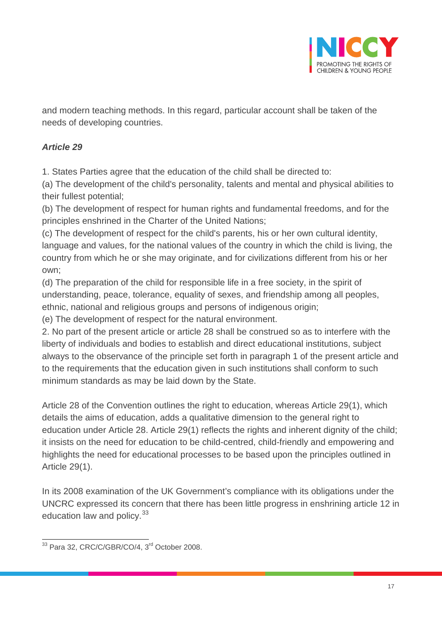

and modern teaching methods. In this regard, particular account shall be taken of the needs of developing countries.

# *Article 29*

1. States Parties agree that the education of the child shall be directed to:

(a) The development of the child's personality, talents and mental and physical abilities to their fullest potential;

(b) The development of respect for human rights and fundamental freedoms, and for the principles enshrined in the Charter of the United Nations;

(c) The development of respect for the child's parents, his or her own cultural identity, language and values, for the national values of the country in which the child is living, the country from which he or she may originate, and for civilizations different from his or her own;

(d) The preparation of the child for responsible life in a free society, in the spirit of understanding, peace, tolerance, equality of sexes, and friendship among all peoples, ethnic, national and religious groups and persons of indigenous origin;

(e) The development of respect for the natural environment.

2. No part of the present article or article 28 shall be construed so as to interfere with the liberty of individuals and bodies to establish and direct educational institutions, subject always to the observance of the principle set forth in paragraph 1 of the present article and to the requirements that the education given in such institutions shall conform to such minimum standards as may be laid down by the State.

Article 28 of the Convention outlines the right to education, whereas Article 29(1), which details the aims of education, adds a qualitative dimension to the general right to education under Article 28. Article 29(1) reflects the rights and inherent dignity of the child; it insists on the need for education to be child-centred, child-friendly and empowering and highlights the need for educational processes to be based upon the principles outlined in Article 29(1).

In its 2008 examination of the UK Government's compliance with its obligations under the UNCRC expressed its concern that there has been little progress in enshrining article 12 in education law and policy.<sup>[33](#page-16-0)</sup>

<span id="page-16-0"></span><sup>&</sup>lt;sup>33</sup> Para 32, CRC/C/GBR/CO/4, 3<sup>rd</sup> October 2008.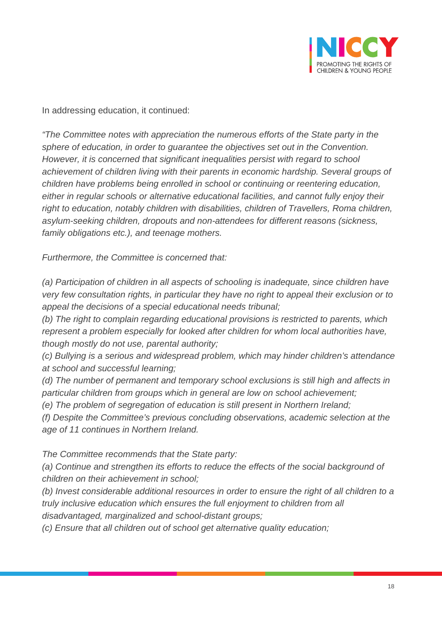

In addressing education, it continued:

*"The Committee notes with appreciation the numerous efforts of the State party in the sphere of education, in order to guarantee the objectives set out in the Convention. However, it is concerned that significant inequalities persist with regard to school achievement of children living with their parents in economic hardship. Several groups of children have problems being enrolled in school or continuing or reentering education, either in regular schools or alternative educational facilities, and cannot fully enjoy their right to education, notably children with disabilities, children of Travellers, Roma children, asylum-seeking children, dropouts and non-attendees for different reasons (sickness, family obligations etc.), and teenage mothers.*

*Furthermore, the Committee is concerned that:*

*(a) Participation of children in all aspects of schooling is inadequate, since children have very few consultation rights, in particular they have no right to appeal their exclusion or to appeal the decisions of a special educational needs tribunal;*

*(b) The right to complain regarding educational provisions is restricted to parents, which represent a problem especially for looked after children for whom local authorities have, though mostly do not use, parental authority;*

*(c) Bullying is a serious and widespread problem, which may hinder children's attendance at school and successful learning;*

*(d) The number of permanent and temporary school exclusions is still high and affects in particular children from groups which in general are low on school achievement;*

*(e) The problem of segregation of education is still present in Northern Ireland;*

*(f) Despite the Committee's previous concluding observations, academic selection at the age of 11 continues in Northern Ireland.*

*The Committee recommends that the State party:*

*(a) Continue and strengthen its efforts to reduce the effects of the social background of children on their achievement in school;*

*(b) Invest considerable additional resources in order to ensure the right of all children to a truly inclusive education which ensures the full enjoyment to children from all disadvantaged, marginalized and school-distant groups;*

*(c) Ensure that all children out of school get alternative quality education;*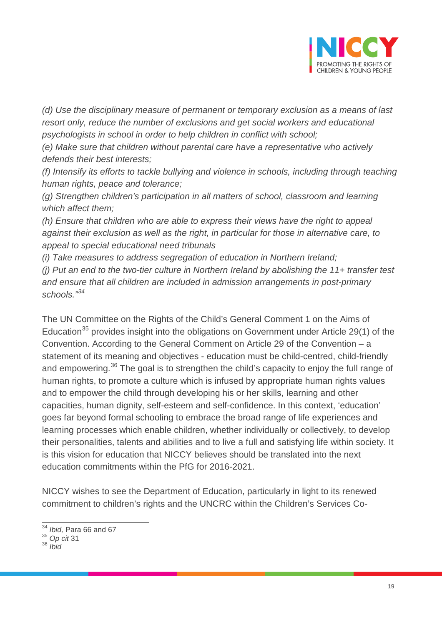

*(d) Use the disciplinary measure of permanent or temporary exclusion as a means of last resort only, reduce the number of exclusions and get social workers and educational psychologists in school in order to help children in conflict with school;*

*(e) Make sure that children without parental care have a representative who actively defends their best interests;*

*(f) Intensify its efforts to tackle bullying and violence in schools, including through teaching human rights, peace and tolerance;*

*(g) Strengthen children's participation in all matters of school, classroom and learning which affect them;*

*(h) Ensure that children who are able to express their views have the right to appeal against their exclusion as well as the right, in particular for those in alternative care, to appeal to special educational need tribunals*

*(i) Take measures to address segregation of education in Northern Ireland;*

*(j) Put an end to the two-tier culture in Northern Ireland by abolishing the 11+ transfer test and ensure that all children are included in admission arrangements in post-primary schools." [34](#page-18-0)*

The UN Committee on the Rights of the Child's General Comment 1 on the Aims of Education<sup>[35](#page-18-1)</sup> provides insight into the obligations on Government under Article 29(1) of the Convention. According to the General Comment on Article 29 of the Convention – a statement of its meaning and objectives - education must be child-centred, child-friendly and empowering.<sup>[36](#page-18-2)</sup> The goal is to strengthen the child's capacity to enjoy the full range of human rights, to promote a culture which is infused by appropriate human rights values and to empower the child through developing his or her skills, learning and other capacities, human dignity, self-esteem and self-confidence. In this context, 'education' goes far beyond formal schooling to embrace the broad range of life experiences and learning processes which enable children, whether individually or collectively, to develop their personalities, talents and abilities and to live a full and satisfying life within society. It is this vision for education that NICCY believes should be translated into the next education commitments within the PfG for 2016-2021.

NICCY wishes to see the Department of Education, particularly in light to its renewed commitment to children's rights and the UNCRC within the Children's Services Co-

<sup>34</sup> *Ibid,* Para 66 and 67

<span id="page-18-1"></span><span id="page-18-0"></span><sup>35</sup> *Op cit* 31

<span id="page-18-2"></span><sup>36</sup> *Ibid*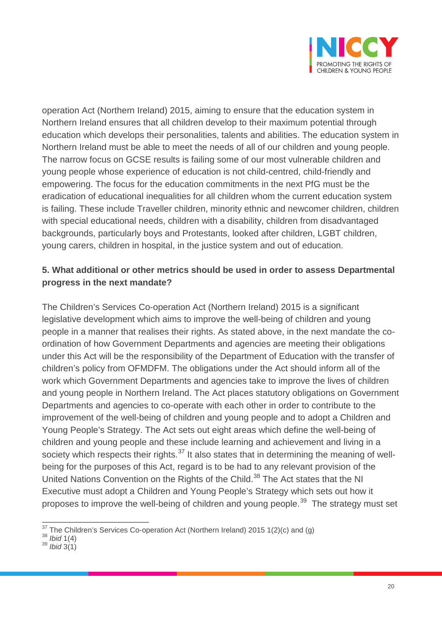

operation Act (Northern Ireland) 2015, aiming to ensure that the education system in Northern Ireland ensures that all children develop to their maximum potential through education which develops their personalities, talents and abilities. The education system in Northern Ireland must be able to meet the needs of all of our children and young people. The narrow focus on GCSE results is failing some of our most vulnerable children and young people whose experience of education is not child-centred, child-friendly and empowering. The focus for the education commitments in the next PfG must be the eradication of educational inequalities for all children whom the current education system is failing. These include Traveller children, minority ethnic and newcomer children, children with special educational needs, children with a disability, children from disadvantaged backgrounds, particularly boys and Protestants, looked after children, LGBT children, young carers, children in hospital, in the justice system and out of education.

# **5. What additional or other metrics should be used in order to assess Departmental progress in the next mandate?**

The Children's Services Co-operation Act (Northern Ireland) 2015 is a significant legislative development which aims to improve the well-being of children and young people in a manner that realises their rights. As stated above, in the next mandate the coordination of how Government Departments and agencies are meeting their obligations under this Act will be the responsibility of the Department of Education with the transfer of children's policy from OFMDFM. The obligations under the Act should inform all of the work which Government Departments and agencies take to improve the lives of children and young people in Northern Ireland. The Act places statutory obligations on Government Departments and agencies to co-operate with each other in order to contribute to the improvement of the well-being of children and young people and to adopt a Children and Young People's Strategy. The Act sets out eight areas which define the well-being of children and young people and these include learning and achievement and living in a society which respects their rights. $37$  It also states that in determining the meaning of wellbeing for the purposes of this Act, regard is to be had to any relevant provision of the United Nations Convention on the Rights of the Child.<sup>[38](#page-19-1)</sup> The Act states that the NI Executive must adopt a Children and Young People's Strategy which sets out how it proposes to improve the well-being of children and young people.<sup>[39](#page-19-2)</sup> The strategy must set

<span id="page-19-0"></span> $\frac{37}{37}$ The Children's Services Co-operation Act (Northern Ireland) 2015 1(2)(c) and (g)  $\frac{38}{161}$  1(4)

<span id="page-19-2"></span><span id="page-19-1"></span><sup>38</sup> *Ibid* 1(4) <sup>39</sup> *Ibid* 3(1)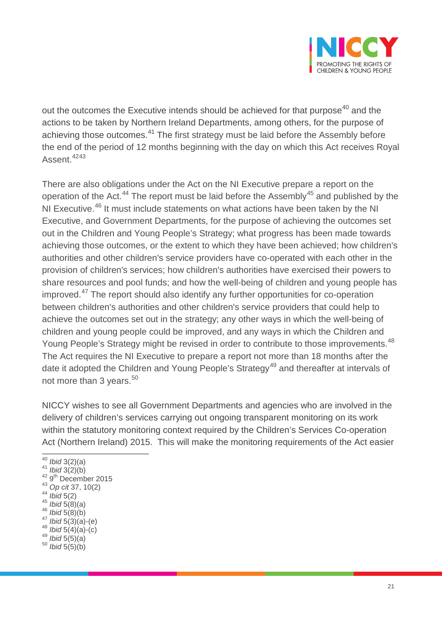

out the outcomes the Executive intends should be achieved for that purpose<sup>[40](#page-20-0)</sup> and the actions to be taken by Northern Ireland Departments, among others, for the purpose of achieving those outcomes.<sup>[41](#page-20-1)</sup> The first strategy must be laid before the Assembly before the end of the period of 12 months beginning with the day on which this Act receives Royal Assent.<sup>[42](#page-20-2)[43](#page-20-3)</sup>

There are also obligations under the Act on the NI Executive prepare a report on the operation of the Act.<sup>[44](#page-20-4)</sup> The report must be laid before the Assembly<sup>[45](#page-20-5)</sup> and published by the NI Executive.<sup>[46](#page-20-6)</sup> It must include statements on what actions have been taken by the NI Executive, and Government Departments, for the purpose of achieving the outcomes set out in the Children and Young People's Strategy; what progress has been made towards achieving those outcomes, or the extent to which they have been achieved; how children's authorities and other children's service providers have co-operated with each other in the provision of children's services; how children's authorities have exercised their powers to share resources and pool funds; and how the well-being of children and young people has improved.<sup>[47](#page-20-7)</sup> The report should also identify any further opportunities for co-operation between children's authorities and other children's service providers that could help to achieve the outcomes set out in the strategy; any other ways in which the well-being of children and young people could be improved, and any ways in which the Children and Young People's Strategy might be revised in order to contribute to those improvements.<sup>[48](#page-20-8)</sup> The Act requires the NI Executive to prepare a report not more than 18 months after the date it adopted the Children and Young People's Strategy<sup>[49](#page-20-9)</sup> and thereafter at intervals of not more than 3 years.<sup>[50](#page-20-10)</sup>

NICCY wishes to see all Government Departments and agencies who are involved in the delivery of children's services carrying out ongoing transparent monitoring on its work within the statutory monitoring context required by the Children's Services Co-operation Act (Northern Ireland) 2015. This will make the monitoring requirements of the Act easier

<span id="page-20-6"></span>

- <span id="page-20-5"></span><span id="page-20-4"></span><span id="page-20-3"></span>44 *Ibid* 5(2)<br><sup>45</sup> *Ibid* 5(8)(a)<br><sup>46</sup> *Ibid* 5(8)(b)<br><sup>47</sup> *Ibid* 5(3)(a)-(e)<br><sup>48</sup> *Ibid* 5(5)(a)<br><sup>50</sup> *Ibid* 5(5)(b)
- <span id="page-20-10"></span><span id="page-20-9"></span>

<span id="page-20-1"></span><span id="page-20-0"></span><sup>40</sup> *Ibid* 3(2)(a)<br>
<sup>41</sup> *Ibid* 3(2)(b)<br>
<sup>42</sup> 9<sup>th</sup> December 2015<br>
<sup>43</sup> Op cit 37, 10(2)

<span id="page-20-2"></span>

<span id="page-20-8"></span><span id="page-20-7"></span>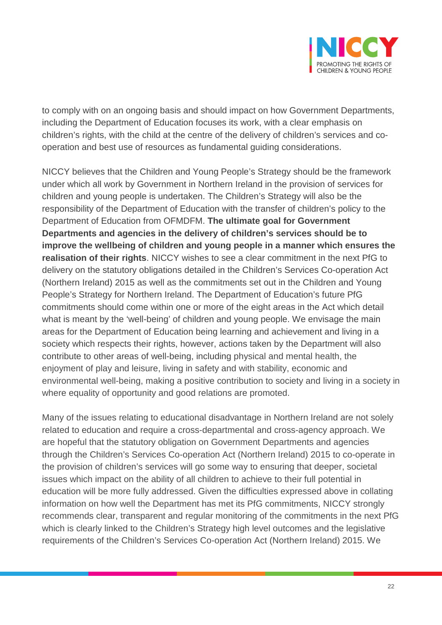

to comply with on an ongoing basis and should impact on how Government Departments, including the Department of Education focuses its work, with a clear emphasis on children's rights, with the child at the centre of the delivery of children's services and cooperation and best use of resources as fundamental guiding considerations.

NICCY believes that the Children and Young People's Strategy should be the framework under which all work by Government in Northern Ireland in the provision of services for children and young people is undertaken. The Children's Strategy will also be the responsibility of the Department of Education with the transfer of children's policy to the Department of Education from OFMDFM. **The ultimate goal for Government Departments and agencies in the delivery of children's services should be to improve the wellbeing of children and young people in a manner which ensures the realisation of their rights**. NICCY wishes to see a clear commitment in the next PfG to delivery on the statutory obligations detailed in the Children's Services Co-operation Act (Northern Ireland) 2015 as well as the commitments set out in the Children and Young People's Strategy for Northern Ireland. The Department of Education's future PfG commitments should come within one or more of the eight areas in the Act which detail what is meant by the 'well-being' of children and young people. We envisage the main areas for the Department of Education being learning and achievement and living in a society which respects their rights, however, actions taken by the Department will also contribute to other areas of well-being, including physical and mental health, the enjoyment of play and leisure, living in safety and with stability, economic and environmental well-being, making a positive contribution to society and living in a society in where equality of opportunity and good relations are promoted.

Many of the issues relating to educational disadvantage in Northern Ireland are not solely related to education and require a cross-departmental and cross-agency approach. We are hopeful that the statutory obligation on Government Departments and agencies through the Children's Services Co-operation Act (Northern Ireland) 2015 to co-operate in the provision of children's services will go some way to ensuring that deeper, societal issues which impact on the ability of all children to achieve to their full potential in education will be more fully addressed. Given the difficulties expressed above in collating information on how well the Department has met its PfG commitments, NICCY strongly recommends clear, transparent and regular monitoring of the commitments in the next PfG which is clearly linked to the Children's Strategy high level outcomes and the legislative requirements of the Children's Services Co-operation Act (Northern Ireland) 2015. We